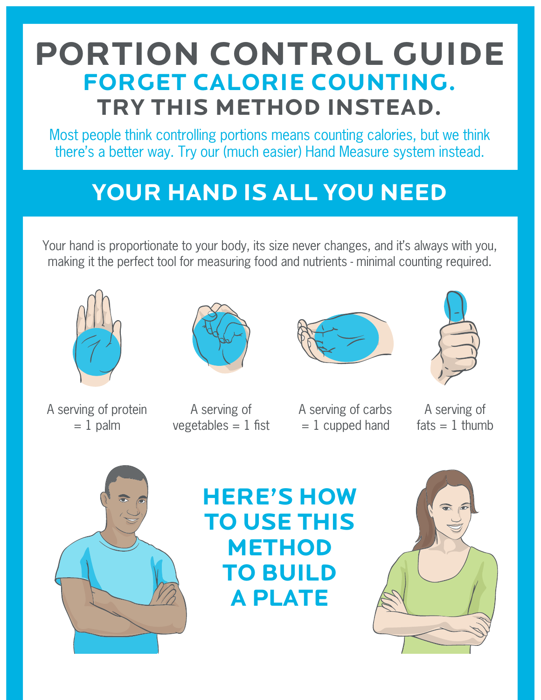## **PORTION CONTROL GUIDE FORGET CALORIE COUNTING. TRY THIS METHOD INSTEAD.**

Most people think controlling portions means counting calories, but we think there's a better way. Try our (much easier) Hand Measure system instead.

# **YOUR HAND IS ALL YOU NEED**

Your hand is proportionate to your body, its size never changes, and it's always with you, making it the perfect tool for measuring food and nutrients - minimal counting required.



A serving of protein  $= 1$  palm



A serving of  $vegetables = 1$  fist





A serving of carbs  $= 1$  cupped hand

A serving of  $fats = 1$  thumb



### **HERE'S HOW TO USE THIS METHOD TO BUILD A PLATE**

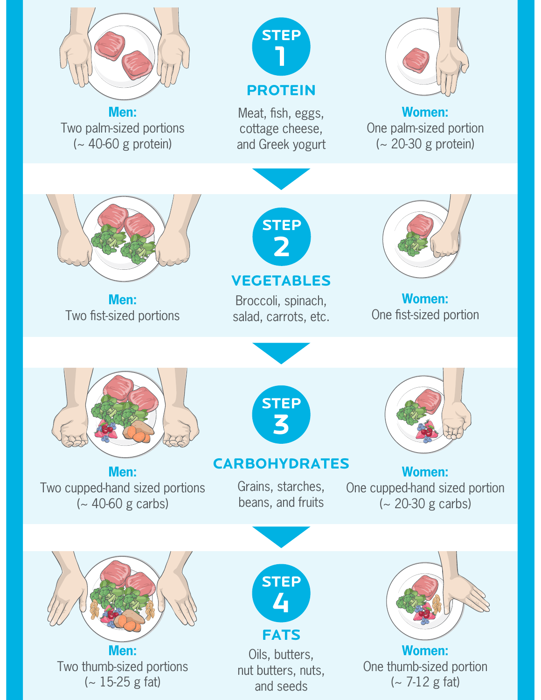